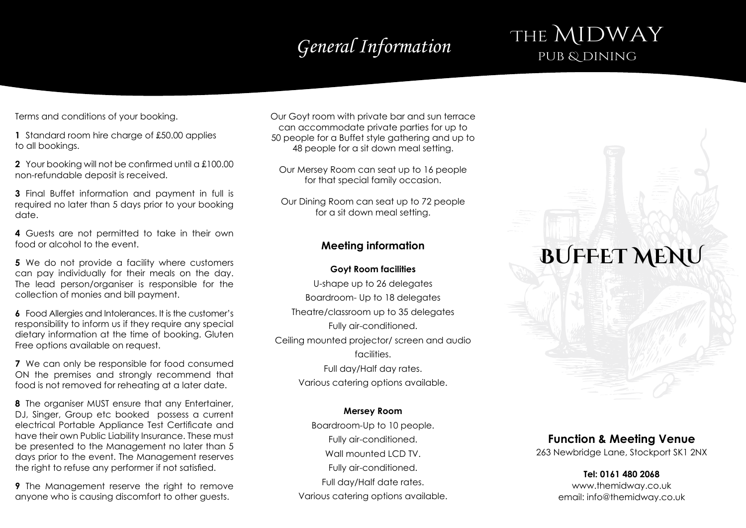# General Information **FITTL IVULYVI**

# THE MIDWAY

Terms and conditions of your booking.

**1** Standard room hire charge of £50.00 applies to all bookings.

**2** Your booking will not be confirmed until a £100.00 non-refundable deposit is received.

**3** Final Buffet information and payment in full is required no later than 5 days prior to your booking date.

**4** Guests are not permitted to take in their own food or alcohol to the event.

**5** We do not provide a facility where customers can pay individually for their meals on the day. The lead person/organiser is responsible for the collection of monies and bill payment.

**6** Food Allergies and Intolerances. It is the customer's responsibility to inform us if they require any special dietary information at the time of booking. Gluten Free options available on request.

**7** We can only be responsible for food consumed ON the premises and strongly recommend that food is not removed for reheating at a later date.

**8** The organiser MUST ensure that any Entertainer, DJ, Singer, Group etc booked possess a current electrical Portable Appliance Test Certificate and have their own Public Liability Insurance. These must be presented to the Management no later than 5 days prior to the event. The Management reserves the right to refuse any performer if not satisfied.

**9** The Management reserve the right to remove anyone who is causing discomfort to other guests.

Our Goyt room with private bar and sun terrace can accommodate private parties for up to 50 people for a Buffet style gathering and up to 48 people for a sit down meal setting.

Our Mersey Room can seat up to 16 people for that special family occasion.

Our Dining Room can seat up to 72 people for a sit down meal setting.

### **Meeting information**

### **Goyt Room facilities**

U-shape up to 26 delegates Boardroom- Up to 18 delegates Theatre/classroom up to 35 delegates Fully air-conditioned. Ceiling mounted projector/ screen and audio facilities. Full day/Half day rates. Various catering options available.

### **Mersey Room**

Boardroom-Up to 10 people. Fully air-conditioned. Wall mounted LCD TV. Fully air-conditioned. Full day/Half date rates. Various catering options available.

# **BUFFET MENU**

### **Function & Meeting Venue**

263 Newbridge Lane, Stockport SK1 2NX

### **Tel: 0161 480 2068** www.themidway.co.uk email: info@themidway.co.uk